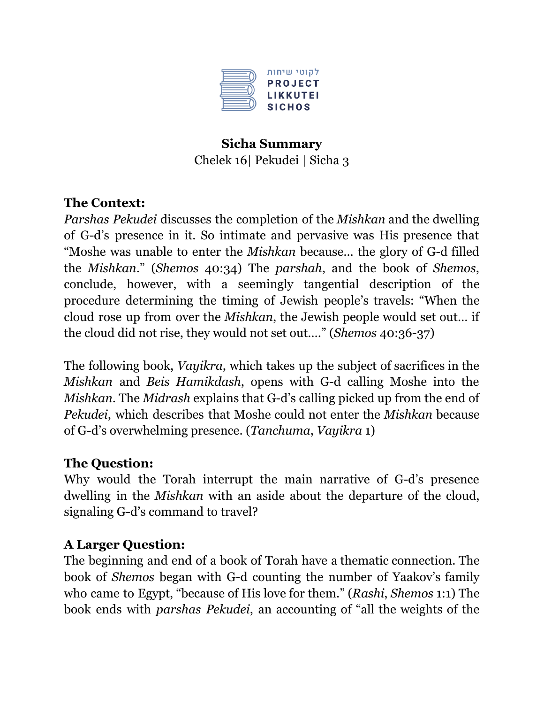

## **Sicha Summary** Chelek 16| Pekudei | Sicha 3

### **The Context:**

*Parshas Pekudei* discusses the completion of the *Mishkan* and the dwelling of G-d's presence in it. So intimate and pervasive was His presence that "Moshe was unable to enter the *Mishkan* because… the glory of G-d filled the *Mishkan*." (*Shemos* 40:34) The *parshah*, and the book of *Shemos*, conclude, however, with a seemingly tangential description of the procedure determining the timing of Jewish people's travels: "When the cloud rose up from over the *Mishkan*, the Jewish people would set out… if the cloud did not rise, they would not set out…." (*Shemos* 40:36-37)

The following book, *Vayikra*, which takes up the subject of sacrifices in the *Mishkan* and *Beis Hamikdash*, opens with G-d calling Moshe into the *Mishkan*. The *Midrash* explains that G-d's calling picked up from the end of *Pekudei*, which describes that Moshe could not enter the *Mishkan* because of G-d's overwhelming presence. (*Tanchuma*, *Vayikra* 1)

# **The Question:**

Why would the Torah interrupt the main narrative of G-d's presence dwelling in the *Mishkan* with an aside about the departure of the cloud, signaling G-d's command to travel?

### **A Larger Question:**

The beginning and end of a book of Torah have a thematic connection. The book of *Shemos* began with G-d counting the number of Yaakov's family who came to Egypt, "because of His love for them." (*Rashi*, *Shemos* 1:1) The book ends with *parshas Pekudei*, an accounting of "all the weights of the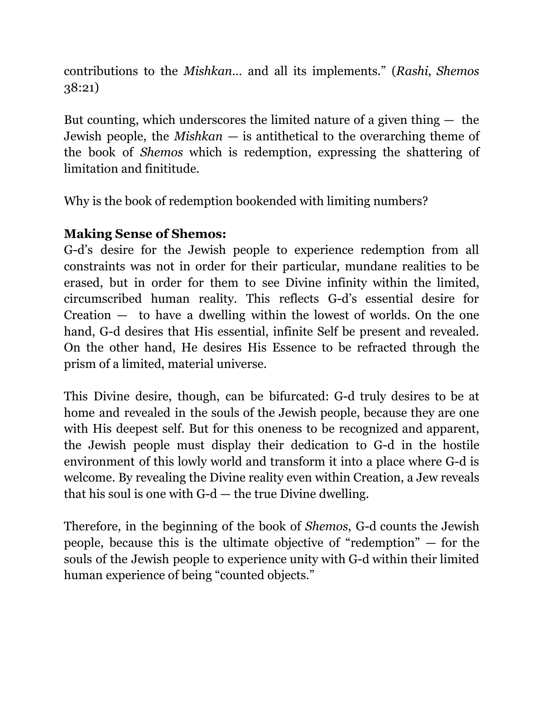contributions to the *Mishkan…* and all its implements." (*Rashi*, *Shemos* 38:21)

But counting, which underscores the limited nature of a given thing  $-$  the Jewish people, the *Mishkan* — is antithetical to the overarching theme of the book of *Shemos* which is redemption, expressing the shattering of limitation and finititude.

Why is the book of redemption bookended with limiting numbers?

# **Making Sense of Shemos:**

G-d's desire for the Jewish people to experience redemption from all constraints was not in order for their particular, mundane realities to be erased, but in order for them to see Divine infinity within the limited, circumscribed human reality. This reflects G-d's essential desire for Creation — to have a dwelling within the lowest of worlds. On the one hand, G-d desires that His essential, infinite Self be present and revealed. On the other hand, He desires His Essence to be refracted through the prism of a limited, material universe.

This Divine desire, though, can be bifurcated: G-d truly desires to be at home and revealed in the souls of the Jewish people, because they are one with His deepest self. But for this oneness to be recognized and apparent, the Jewish people must display their dedication to G-d in the hostile environment of this lowly world and transform it into a place where G-d is welcome. By revealing the Divine reality even within Creation, a Jew reveals that his soul is one with G-d — the true Divine dwelling.

Therefore, in the beginning of the book of *Shemos*, G-d counts the Jewish people, because this is the ultimate objective of "redemption" — for the souls of the Jewish people to experience unity with G-d within their limited human experience of being "counted objects."